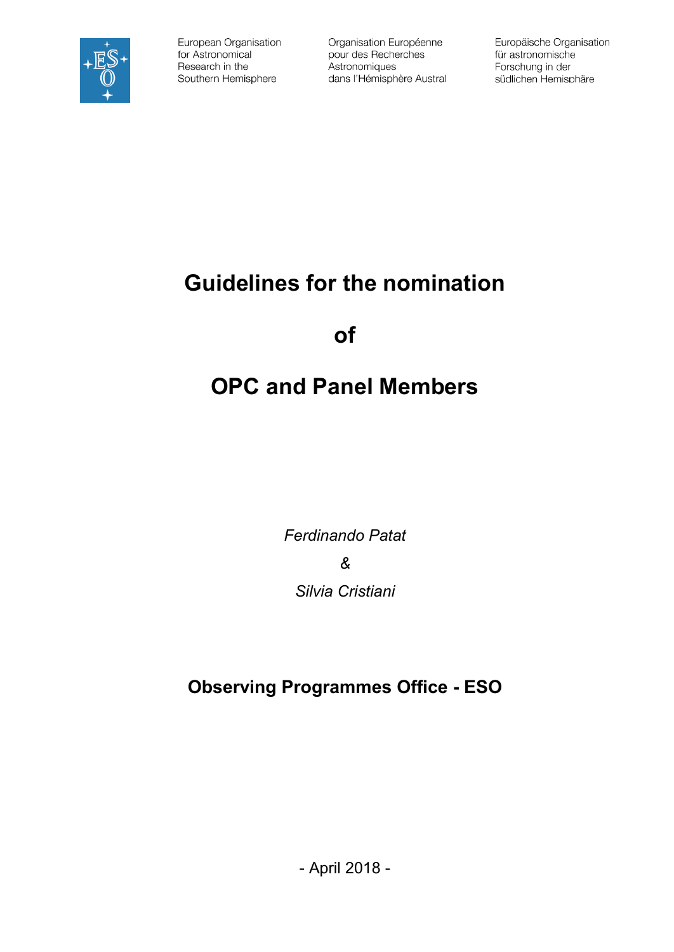

European Organisation for Astronomical Research in the Southern Hemisphere

Organisation Européenne pour des Recherches Astronomiques dans l'Hémisphère Austral Europäische Organisation für astronomische Forschung in der südlichen Hemisphäre

## **Guidelines for the nomination**

**of**

# **OPC and Panel Members**

*Ferdinando Patat & Silvia Cristiani*

**Observing Programmes Office - ESO**

- April 2018 -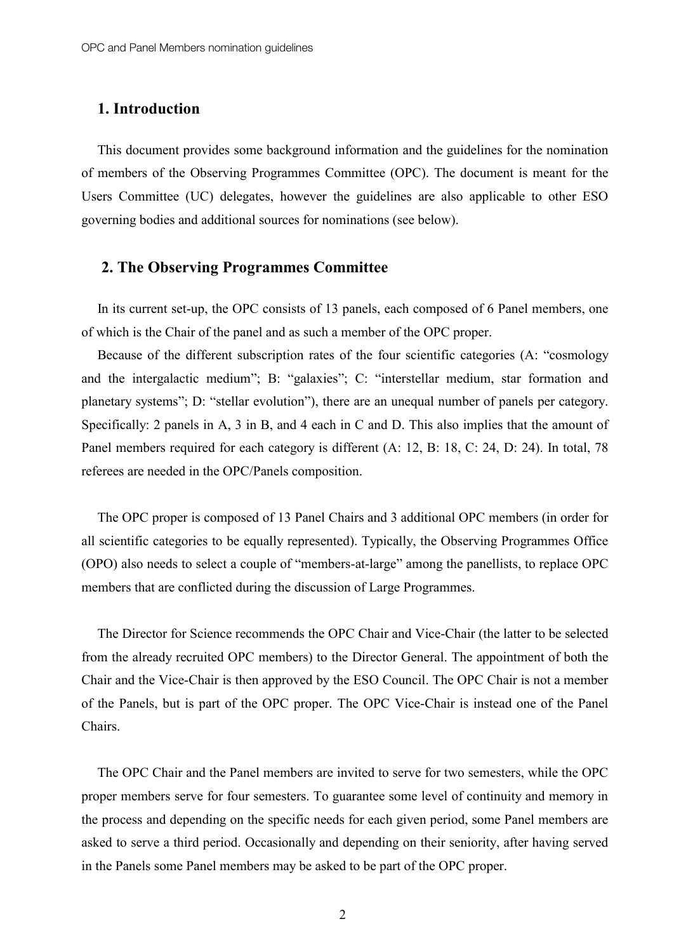## 1. Introduction

This document provides some background information and the guidelines for the nomination of members of the Observing Programmes Committee (OPC). The document is meant for the Users Committee (UC) delegates, however the guidelines are also applicable to other ESO governing bodies and additional sources for nominations (see below).

## 2. The Observing Programmes Committee

In its current set-up, the OPC consists of 13 panels, each composed of 6 Panel members, one of which is the Chair of the panel and as such a member of the OPC proper.

Because of the different subscription rates of the four scientific categories (A: "cosmology and the intergalactic medium"; B: "galaxies"; C: "interstellar medium, star formation and planetary systems"; D: "stellar evolution"), there are an unequal number of panels per category. Specifically: 2 panels in A, 3 in B, and 4 each in C and D. This also implies that the amount of Panel members required for each category is different (A: 12, B: 18, C: 24, D: 24). In total, 78 referees are needed in the OPC/Panels composition.

The OPC proper is composed of 13 Panel Chairs and 3 additional OPC members (in order for all scientific categories to be equally represented). Typically, the Observing Programmes Office (OPO) also needs to select a couple of "members-at-large" among the panellists, to replace OPC members that are conflicted during the discussion of Large Programmes.

The Director for Science recommends the OPC Chair and Vice-Chair (the latter to be selected from the already recruited OPC members) to the Director General. The appointment of both the Chair and the Vice-Chair is then approved by the ESO Council. The OPC Chair is not a member of the Panels, but is part of the OPC proper. The OPC Vice-Chair is instead one of the Panel Chairs.

The OPC Chair and the Panel members are invited to serve for two semesters, while the OPC proper members serve for four semesters. To guarantee some level of continuity and memory in the process and depending on the specific needs for each given period, some Panel members are asked to serve a third period. Occasionally and depending on their seniority, after having served in the Panels some Panel members may be asked to be part of the OPC proper.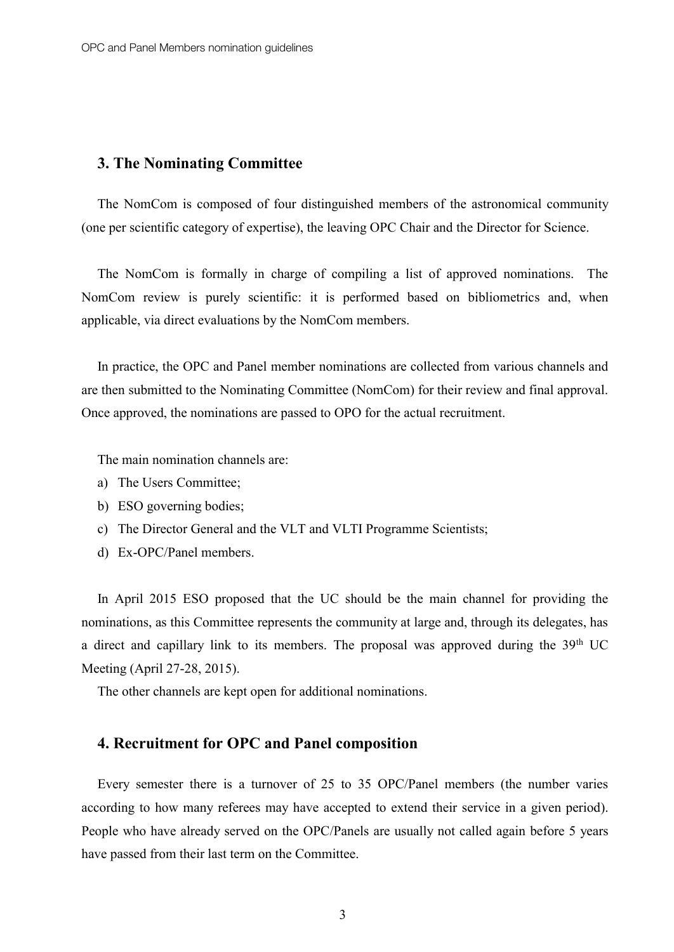#### 3. The Nominating Committee

The NomCom is composed of four distinguished members of the astronomical community (one per scientific category of expertise), the leaving OPC Chair and the Director for Science.

The NomCom is formally in charge of compiling a list of approved nominations. The NomCom review is purely scientific: it is performed based on bibliometrics and, when applicable, via direct evaluations by the NomCom members.

In practice, the OPC and Panel member nominations are collected from various channels and are then submitted to the Nominating Committee (NomCom) for their review and final approval. Once approved, the nominations are passed to OPO for the actual recruitment.

The main nomination channels are:

- a) The Users Committee;
- b) ESO governing bodies;
- c) The Director General and the VLT and VLTI Programme Scientists;
- d) Ex-OPC/Panel members.

In April 2015 ESO proposed that the UC should be the main channel for providing the nominations, as this Committee represents the community at large and, through its delegates, has a direct and capillary link to its members. The proposal was approved during the 39<sup>th</sup> UC Meeting (April 27-28, 2015).

The other channels are kept open for additional nominations.

#### 4. Recruitment for OPC and Panel composition

Every semester there is a turnover of 25 to 35 OPC/Panel members (the number varies according to how many referees may have accepted to extend their service in a given period). People who have already served on the OPC/Panels are usually not called again before 5 years have passed from their last term on the Committee.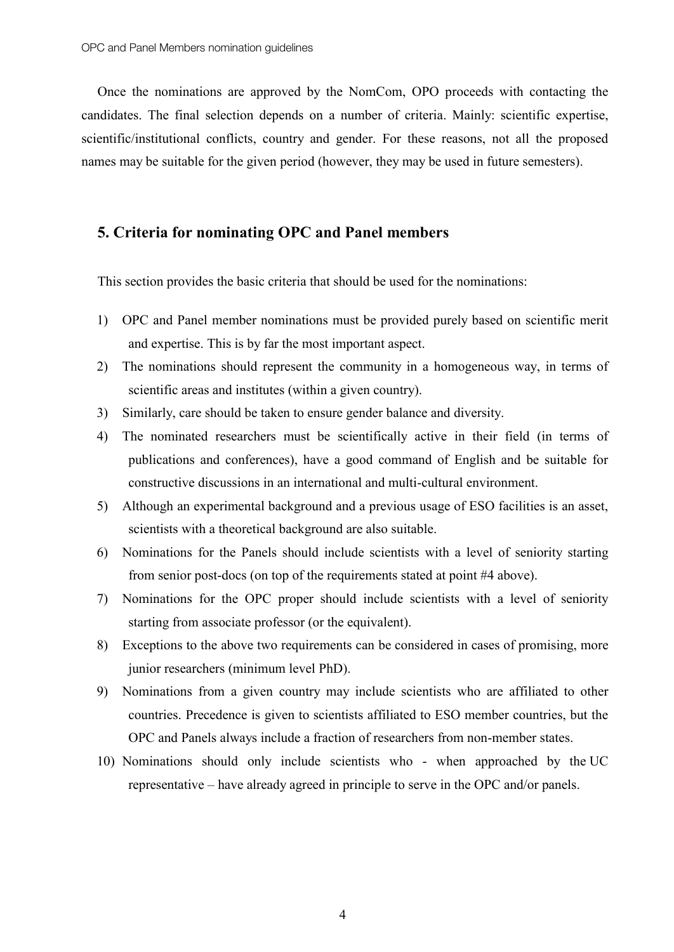Once the nominations are approved by the NomCom, OPO proceeds with contacting the candidates. The final selection depends on a number of criteria. Mainly: scientific expertise, scientific/institutional conflicts, country and gender. For these reasons, not all the proposed names may be suitable for the given period (however, they may be used in future semesters).

## 5. Criteria for nominating OPC and Panel members

This section provides the basic criteria that should be used for the nominations:

- 1) OPC and Panel member nominations must be provided purely based on scientific merit and expertise. This is by far the most important aspect.
- 2) The nominations should represent the community in a homogeneous way, in terms of scientific areas and institutes (within a given country).
- 3) Similarly, care should be taken to ensure gender balance and diversity.
- 4) The nominated researchers must be scientifically active in their field (in terms of publications and conferences), have a good command of English and be suitable for constructive discussions in an international and multi-cultural environment.
- 5) Although an experimental background and a previous usage of ESO facilities is an asset, scientists with a theoretical background are also suitable.
- 6) Nominations for the Panels should include scientists with a level of seniority starting from senior post-docs (on top of the requirements stated at point #4 above).
- 7) Nominations for the OPC proper should include scientists with a level of seniority starting from associate professor (or the equivalent).
- 8) Exceptions to the above two requirements can be considered in cases of promising, more junior researchers (minimum level PhD).
- 9) Nominations from a given country may include scientists who are affiliated to other countries. Precedence is given to scientists affiliated to ESO member countries, but the OPC and Panels always include a fraction of researchers from non-member states.
- 10) Nominations should only include scientists who when approached by the UC representative – have already agreed in principle to serve in the OPC and/or panels.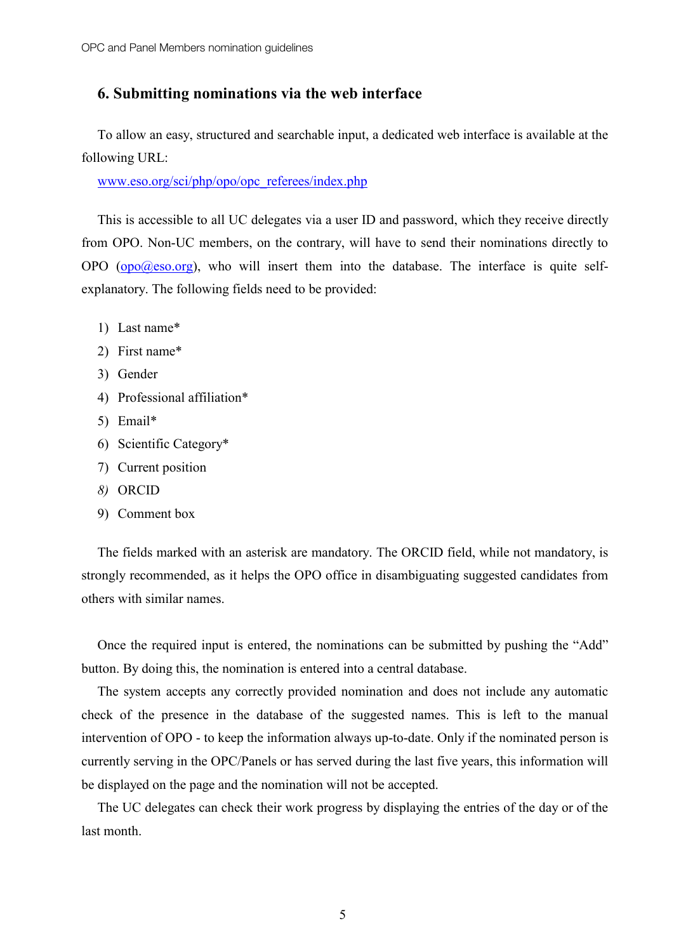## 6. Submitting nominations via the web interface

To allow an easy, structured and searchable input, a dedicated web interface is available at the following URL:

[www.eso.org/sci/php/opo/opc\\_referees/index.php](http://www.eso.org/sci/php/opo/opc_referees/index.php)

This is accessible to all UC delegates via a user ID and password, which they receive directly from OPO. Non-UC members, on the contrary, will have to send their nominations directly to OPO ( $\Omega$  $\Omega$ ) ( $\Omega$  $\Omega$ ) ( $\Omega$ )), who will insert them into the database. The interface is quite selfexplanatory. The following fields need to be provided:

- 1) Last name\*
- 2) First name\*
- 3) Gender
- 4) Professional affiliation\*
- 5) Email\*
- 6) Scientific Category\*
- 7) Current position
- *8)* ORCID
- 9) Comment box

The fields marked with an asterisk are mandatory. The ORCID field, while not mandatory, is strongly recommended, as it helps the OPO office in disambiguating suggested candidates from others with similar names.

Once the required input is entered, the nominations can be submitted by pushing the "Add" button. By doing this, the nomination is entered into a central database.

The system accepts any correctly provided nomination and does not include any automatic check of the presence in the database of the suggested names. This is left to the manual intervention of OPO - to keep the information always up-to-date. Only if the nominated person is currently serving in the OPC/Panels or has served during the last five years, this information will be displayed on the page and the nomination will not be accepted.

The UC delegates can check their work progress by displaying the entries of the day or of the last month.